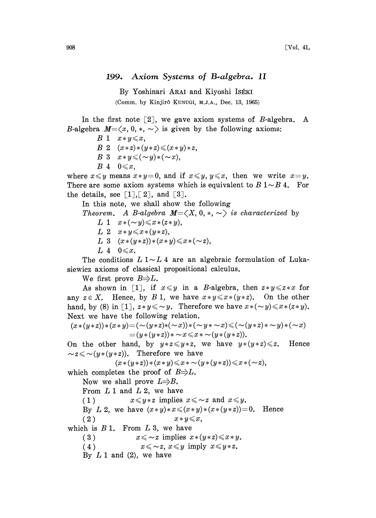## 199. Axiom Systems of B-algebra. II

By Yoshinari ARAI and Kiyoshi ISÉKI (Comm. by Kinjirô KUNUGI, M.J.A., Dec. 13, 1965)

In the first note  $\lceil 2 \rceil$ , we gave axiom systems of B-algebra. A B-algebra  $M=\langle x, 0, *, \sim \rangle$  is given by the following axioms:

- $B \ 1 \ x \ast y \leqslant x$ ,
- $B \; 2 \; (x * z) * (y * z) \leq (x * y) * z,$
- B 3  $x \ast y \leqslant (\sim y) \ast (\sim x),$
- $B\ 4\quad 0 \leqslant x$ ,

where  $x \leq y$  means  $x \cdot y = 0$ , and if  $x \leq y$ ,  $y \leq x$ , then we write  $x = y$ . There are some axiom systems which is equivalent to  $B \, 1 \sim B \, 4$ . For the details, see  $\lceil 1 \rceil, \lceil 2 \rceil$ , and  $\lceil 3 \rceil$ .

In this note, we shall show the following

Theorem. A B-algebra  $M=\langle X, 0, *, \sim \rangle$  is characterized by L 1  $x*(-y) \leq x*(z*y)$ ,

- $L \; 2 \; x \ast y \leq x \ast (y \ast z),$
- L 3  $(x*(y*z))*(x*y) \le x*(-z),$
- $L_4$   $0 \leqslant x$ .

The conditions  $L 1 \sim L 4$  are an algebraic formulation of Lukasiewicz axioms of classical propositional calculus.

We first prove  $B\Rightarrow L$ .

As shown in [1], if  $x \leq y$  in a B-algebra, then  $z \cdot y \leq z \cdot x$  for any  $z \in X$ . Hence, by B 1, we have  $x \times y \le x \times (y \times z)$ . On the other hand, by (8) in [1],  $z \times y \leq y$ . Therefore we have  $x \times (-y) \leq x \times (z \times y)$ .

Next we have the following relation.  
\n
$$
(x*(y*z)*(x*y)=(\sim(y*z)*(\sim x)*( \sim y*\sim x)(\sim(y*z)*\sim y)*(\sim x)
$$
\n
$$
=(y*(y*z))*\sim x\leq x*\sim (y*(y*z)).
$$

On the other hand, by  $y \times z \leq y \times z$ , we have  $y \times (y \times z) \leq z$ . Hence  $z \leq \sim (y * (y * z)).$  Therefore we have  $(x * (y * z)) * (x * y) \leq x * \sim (y * (y * z)) \leq x * (\sim z),$ 

$$
(x*(y*z))*(x*y)\leq x*\sim (y*(y*z))\leq x*(-z),
$$

which completes the proof of  $B\Rightarrow L$ .

Now we shall prove  $L\rightarrow B$ .

From  $L 1$  and  $L 2$ , we have

(1)  $x \leq y * z$  implies  $x \leq z$  and  $x \leq y$ .

By L 2, we have  $(x*y)*x \leq (x*y)*(x*(y*z))=0$ . Hence

(2)  $x \ast y \leqslant x,$ 

which is  $B_1$ . From  $L_3$ , we have

(3)  $x \leq \sim z$  implies  $x \times (y \times z) \leq x \times y$ .<br>(4)  $x \leq \sim z$ ,  $x \leq y$  imply  $x \leq y \times z$ .  $x \leq \sim z$ ,  $x \leq y$  imply  $x \leq y * z$ .

By  $L 1$  and (2), we have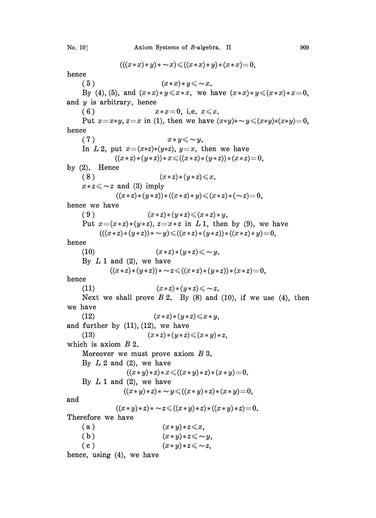$$
(((x * x) * y) * \sim x) \leq ((x * x) * y) * (x * x) = 0,
$$

hence

(5)  $(x*x)*y \leq x.$ By (4), (5), and  $(x*x)*y \le x*x$ , we have  $(x*x)*y \le (x*x)*x=0$ , and  $y$  is arbitrary, hence (6)  $x*x=0$ , i.e.  $x \le x$ . Put  $x=x*y, z=x$  in (1), then we have  $(x*y)*\sim y \leq (x*y)*(x*y)=0$ , hence (7)  $x \ast y \leqslant \sim y$ . In L2, put  $x=(x*z)*(y*z)$ ,  $y=x$ , then we have  $((x * z) * (y * z)) * x \leq ((x * z) * (y * z)) * (x * z) = 0,$ by  $(2)$ . Hence (8)  $(x * z) * (y * z) \le x$ .  $x \times z \leq z$  and (3) imply  $((x * z) * (y * z)) * ((x * z) * y) \leq (x * z) * (\sim z) = 0,$ hence we have (9)  $(x * z) * (y * z) \leq (x * z) * y$ . Put  $x=(x*z)*(y*z)$ ,  $z=x*z$  in L 1, then by (9), we have  $(((x * z) * (y * z)) * \sim y) \leq ((x * z) * (y * z)) * ((x * z) * y) = 0,$ hence (10)  $(x * z) * (y * z) \leq \sim y$ . By  $L 1$  and (2), we have  $((x * z) * (y * z)) * \sim z \leq ((x * z) * (y * z)) * (x * z) = 0,$ hence (11)  $(x * z) * (y * z) \leq \sim z.$ Next we shall prove  $B_2$ . By (8) and (10), if we use (4), then we have (12)  $(x * z) * (y * z) \le x * y$ , and further by  $(11)$ ,  $(12)$ , we have (13)  $(x * z) * (y * z) \leq (x * y) * z,$ which is axiom  $B_2$ . and Moreover we must prove axiom B 3. By  $L2$  and  $(2)$ , we have  $((x * y) * z) * x \leq ((x * y) * z) * (x * y) = 0.$ By  $L 1$  and  $(2)$ , we have  $((x * y) * z) * \sim y \leqslant ((x * y) * z) * (x * y) = 0,$  $((x * y) * z) * \sim z \leqslant ((x * y) * z) * ((x * y) * z) = 0.$ Therefore we have (a) (b) (c) hence, using (4), we have  $(x * y) * z \leq x$ ,  $(x * y) * z \leq \sim y$ ,  $(x * y) * z \leq \sim z$ ,